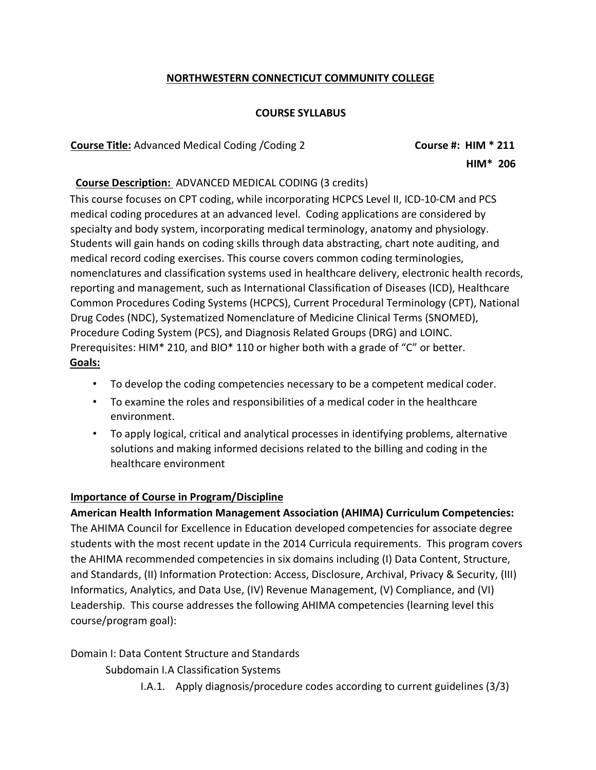# **NORTHWESTERN CONNECTICUT COMMUNITY COLLEGE**

### **COURSE SYLLABUS**

**Course Title:** Advanced Medical Coding /Coding 2 **Course #: HIM \* 211**

 **HIM\* 206**

#### **Course Description:** ADVANCED MEDICAL CODING (3 credits)

This course focuses on CPT coding, while incorporating HCPCS Level II, ICD-10-CM and PCS medical coding procedures at an advanced level. Coding applications are considered by specialty and body system, incorporating medical terminology, anatomy and physiology. Students will gain hands on coding skills through data abstracting, chart note auditing, and medical record coding exercises. This course covers common coding terminologies, nomenclatures and classification systems used in healthcare delivery, electronic health records, reporting and management, such as International Classification of Diseases (ICD), Healthcare Common Procedures Coding Systems (HCPCS), Current Procedural Terminology (CPT), National Drug Codes (NDC), Systematized Nomenclature of Medicine Clinical Terms (SNOMED), Procedure Coding System (PCS), and Diagnosis Related Groups (DRG) and LOINC. Prerequisites: HIM\* 210, and BIO\* 110 or higher both with a grade of "C" or better. **Goals:**

- To develop the coding competencies necessary to be a competent medical coder.
- To examine the roles and responsibilities of a medical coder in the healthcare environment.
- To apply logical, critical and analytical processes in identifying problems, alternative solutions and making informed decisions related to the billing and coding in the healthcare environment

### **Importance of Course in Program/Discipline**

**American Health Information Management Association (AHIMA) Curriculum Competencies:**  The AHIMA Council for Excellence in Education developed competencies for associate degree students with the most recent update in the 2014 Curricula requirements. This program covers the AHIMA recommended competencies in six domains including (I) Data Content, Structure, and Standards, (II) Information Protection: Access, Disclosure, Archival, Privacy & Security, (III) Informatics, Analytics, and Data Use, (IV) Revenue Management, (V) Compliance, and (VI) Leadership. This course addresses the following AHIMA competencies (learning level this course/program goal):

Domain I: Data Content Structure and Standards

Subdomain I.A Classification Systems

I.A.1. Apply diagnosis/procedure codes according to current guidelines (3/3)